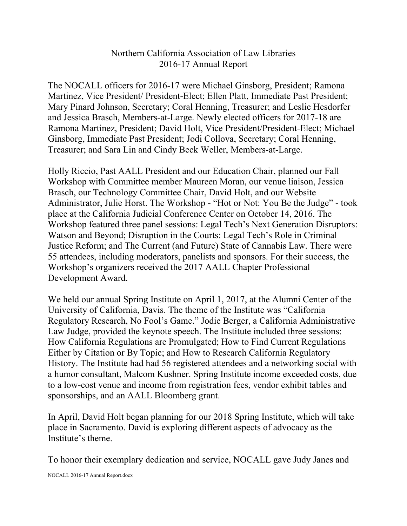## Northern California Association of Law Libraries 2016-17 Annual Report

The NOCALL officers for 2016-17 were Michael Ginsborg, President; Ramona Martinez, Vice President/ President-Elect; Ellen Platt, Immediate Past President; Mary Pinard Johnson, Secretary; Coral Henning, Treasurer; and Leslie Hesdorfer and Jessica Brasch, Members-at-Large. Newly elected officers for 2017-18 are Ramona Martinez, President; David Holt, Vice President/President-Elect; Michael Ginsborg, Immediate Past President; Jodi Collova, Secretary; Coral Henning, Treasurer; and Sara Lin and Cindy Beck Weller, Members-at-Large.

Holly Riccio, Past AALL President and our Education Chair, planned our Fall Workshop with Committee member Maureen Moran, our venue liaison, Jessica Brasch, our Technology Committee Chair, David Holt, and our Website Administrator, Julie Horst. The Workshop - "Hot or Not: You Be the Judge" - took place at the California Judicial Conference Center on October 14, 2016. The Workshop featured three panel sessions: Legal Tech's Next Generation Disruptors: Watson and Beyond; Disruption in the Courts: Legal Tech's Role in Criminal Justice Reform; and The Current (and Future) State of Cannabis Law. There were 55 attendees, including moderators, panelists and sponsors. For their success, the Workshop's organizers received the 2017 AALL Chapter Professional Development Award.

We held our annual Spring Institute on April 1, 2017, at the Alumni Center of the University of California, Davis. The theme of the Institute was "California Regulatory Research, No Fool's Game." Jodie Berger, a California Administrative Law Judge, provided the keynote speech. The Institute included three sessions: How California Regulations are Promulgated; How to Find Current Regulations Either by Citation or By Topic; and How to Research California Regulatory History. The Institute had had 56 registered attendees and a networking social with a humor consultant, Malcom Kushner. Spring Institute income exceeded costs, due to a low-cost venue and income from registration fees, vendor exhibit tables and sponsorships, and an AALL Bloomberg grant.

In April, David Holt began planning for our 2018 Spring Institute, which will take place in Sacramento. David is exploring different aspects of advocacy as the Institute's theme.

To honor their exemplary dedication and service, NOCALL gave Judy Janes and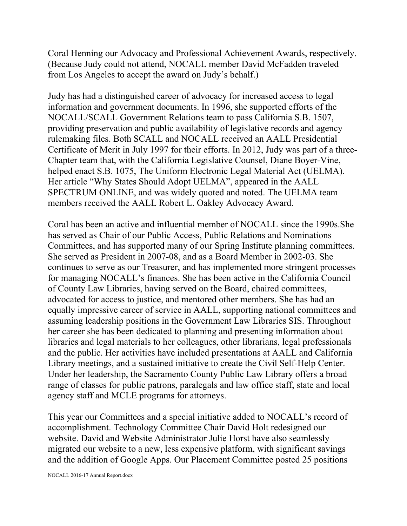Coral Henning our Advocacy and Professional Achievement Awards, respectively. (Because Judy could not attend, NOCALL member David McFadden traveled from Los Angeles to accept the award on Judy's behalf.)

Judy has had a distinguished career of advocacy for increased access to legal information and government documents. In 1996, she supported efforts of the NOCALL/SCALL Government Relations team to pass California S.B. 1507, providing preservation and public availability of legislative records and agency rulemaking files. Both SCALL and NOCALL received an AALL Presidential Certificate of Merit in July 1997 for their efforts. In 2012, Judy was part of a three-Chapter team that, with the California Legislative Counsel, Diane Boyer-Vine, helped enact S.B. 1075, The Uniform Electronic Legal Material Act (UELMA). Her article "Why States Should Adopt UELMA", appeared in the AALL SPECTRUM ONLINE, and was widely quoted and noted. The UELMA team members received the AALL Robert L. Oakley Advocacy Award.

Coral has been an active and influential member of NOCALL since the 1990s.She has served as Chair of our Public Access, Public Relations and Nominations Committees, and has supported many of our Spring Institute planning committees. She served as President in 2007-08, and as a Board Member in 2002-03. She continues to serve as our Treasurer, and has implemented more stringent processes for managing NOCALL's finances. She has been active in the California Council of County Law Libraries, having served on the Board, chaired committees, advocated for access to justice, and mentored other members. She has had an equally impressive career of service in AALL, supporting national committees and assuming leadership positions in the Government Law Libraries SIS. Throughout her career she has been dedicated to planning and presenting information about libraries and legal materials to her colleagues, other librarians, legal professionals and the public. Her activities have included presentations at AALL and California Library meetings, and a sustained initiative to create the Civil Self-Help Center. Under her leadership, the Sacramento County Public Law Library offers a broad range of classes for public patrons, paralegals and law office staff, state and local agency staff and MCLE programs for attorneys.

This year our Committees and a special initiative added to NOCALL's record of accomplishment. Technology Committee Chair David Holt redesigned our website. David and Website Administrator Julie Horst have also seamlessly migrated our website to a new, less expensive platform, with significant savings and the addition of Google Apps. Our Placement Committee posted 25 positions